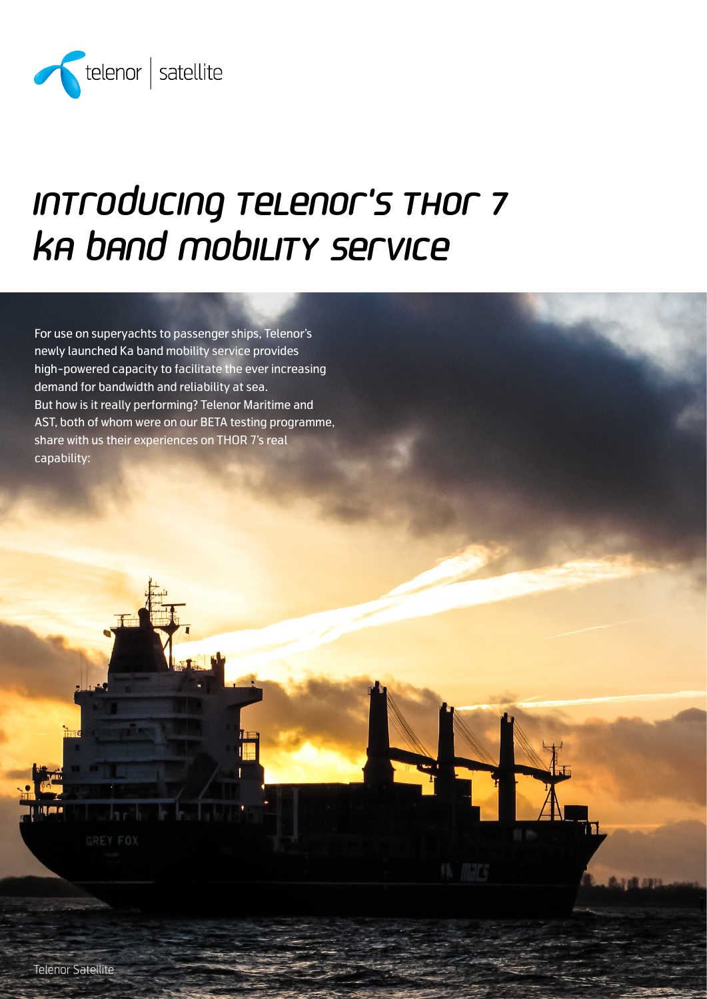

# Introducing Telenor's THOR 7 Ka band mobility service

For use on superyachts to passenger ships, Telenor's newly launched Ka band mobility service provides high-powered capacity to facilitate the ever increasing demand for bandwidth and reliability at sea. But how is it really performing? Telenor Maritime and AST, both of whom were on our BETA testing programme, share with us their experiences on THOR 7's real capability: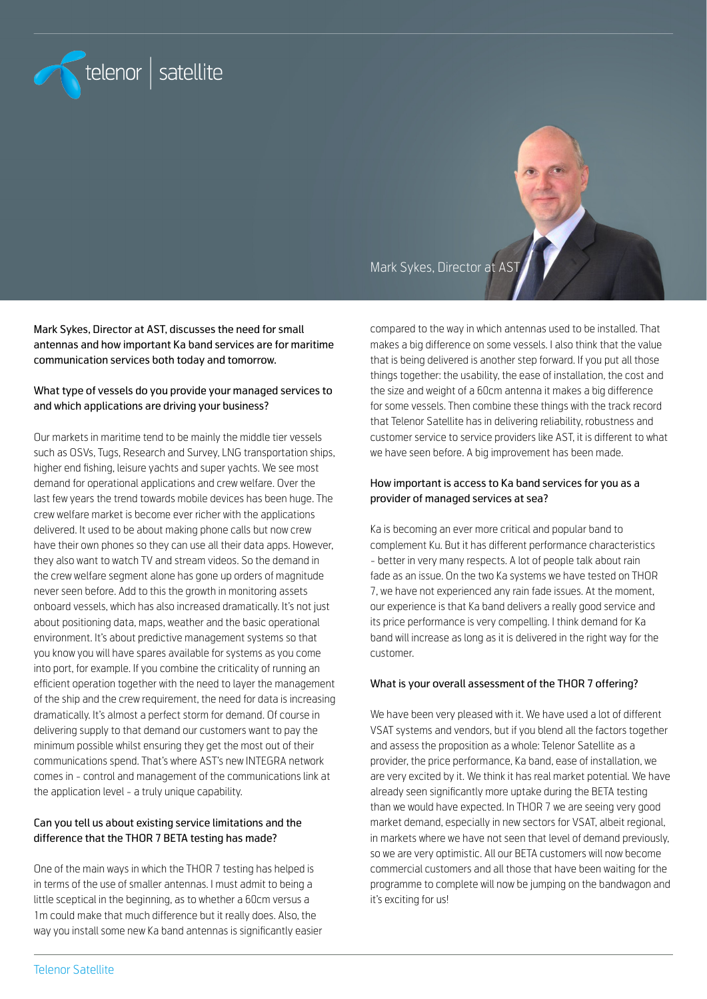

Mark Sykes, Director at AST

Mark Sykes, Director at AST, discusses the need for small antennas and how important Ka band services are for maritime communication services both today and tomorrow.

#### What type of vessels do you provide your managed services to and which applications are driving your business?

Our markets in maritime tend to be mainly the middle tier vessels such as OSVs, Tugs, Research and Survey, LNG transportation ships, higher end fishing, leisure yachts and super yachts. We see most demand for operational applications and crew welfare. Over the last few years the trend towards mobile devices has been huge. The crew welfare market is become ever richer with the applications delivered. It used to be about making phone calls but now crew have their own phones so they can use all their data apps. However, they also want to watch TV and stream videos. So the demand in the crew welfare segment alone has gone up orders of magnitude never seen before. Add to this the growth in monitoring assets onboard vessels, which has also increased dramatically. It's not just about positioning data, maps, weather and the basic operational environment. It's about predictive management systems so that you know you will have spares available for systems as you come into port, for example. If you combine the criticality of running an efficient operation together with the need to layer the management of the ship and the crew requirement, the need for data is increasing dramatically. It's almost a perfect storm for demand. Of course in delivering supply to that demand our customers want to pay the minimum possible whilst ensuring they get the most out of their communications spend. That's where AST's new INTEGRA network comes in - control and management of the communications link at the application level - a truly unique capability.

## Can you tell us about existing service limitations and the difference that the THOR 7 BETA testing has made?

One of the main ways in which the THOR 7 testing has helped is in terms of the use of smaller antennas. I must admit to being a little sceptical in the beginning, as to whether a 60cm versus a 1m could make that much difference but it really does. Also, the way you install some new Ka band antennas is significantly easier compared to the way in which antennas used to be installed. That makes a big difference on some vessels. I also think that the value that is being delivered is another step forward. If you put all those things together: the usability, the ease of installation, the cost and the size and weight of a 60cm antenna it makes a big difference for some vessels. Then combine these things with the track record that Telenor Satellite has in delivering reliability, robustness and customer service to service providers like AST, it is different to what we have seen before. A big improvement has been made.

#### How important is access to Ka band services for you as a provider of managed services at sea?

Ka is becoming an ever more critical and popular band to complement Ku. But it has different performance characteristics - better in very many respects. A lot of people talk about rain fade as an issue. On the two Ka systems we have tested on THOR 7, we have not experienced any rain fade issues. At the moment, our experience is that Ka band delivers a really good service and its price performance is very compelling. I think demand for Ka band will increase as long as it is delivered in the right way for the customer.

#### What is your overall assessment of the THOR 7 offering?

We have been very pleased with it. We have used a lot of different VSAT systems and vendors, but if you blend all the factors together and assess the proposition as a whole: Telenor Satellite as a provider, the price performance, Ka band, ease of installation, we are very excited by it. We think it has real market potential. We have already seen significantly more uptake during the BETA testing than we would have expected. In THOR 7 we are seeing very good market demand, especially in new sectors for VSAT, albeit regional, in markets where we have not seen that level of demand previously, so we are very optimistic. All our BETA customers will now become commercial customers and all those that have been waiting for the programme to complete will now be jumping on the bandwagon and it's exciting for us!